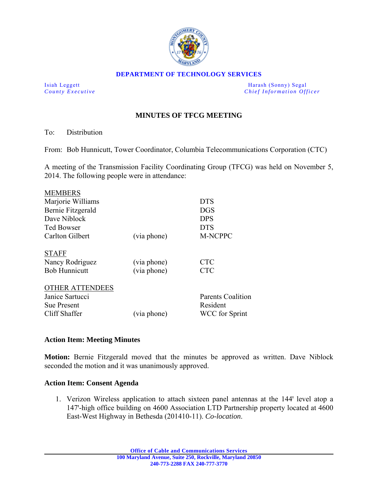

#### **DEPARTMENT OF TECHNOLOGY SERVICES**

Isiah Leggett **Harash (Sonny)** Segal *County Executive* **Country Executive Chief Information Officer** 

# **MINUTES OF TFCG MEETING**

To: Distribution

s en en noch

From: Bob Hunnicutt, Tower Coordinator, Columbia Telecommunications Corporation (CTC)

A meeting of the Transmission Facility Coordinating Group (TFCG) was held on November 5, 2014. The following people were in attendance:

| <b>MEMBERS</b>         |             |                          |
|------------------------|-------------|--------------------------|
| Marjorie Williams      |             | <b>DTS</b>               |
| Bernie Fitzgerald      |             | <b>DGS</b>               |
| Dave Niblock           |             | <b>DPS</b>               |
| <b>Ted Bowser</b>      |             | <b>DTS</b>               |
| Carlton Gilbert        | (via phone) | <b>M-NCPPC</b>           |
| <b>STAFF</b>           |             |                          |
| Nancy Rodriguez        | (via phone) | <b>CTC</b>               |
| <b>Bob Hunnicutt</b>   | (via phone) | <b>CTC</b>               |
| <b>OTHER ATTENDEES</b> |             |                          |
| Janice Sartucci        |             | <b>Parents Coalition</b> |
| <b>Sue Present</b>     |             | Resident                 |
| Cliff Shaffer          | (via phone) | <b>WCC</b> for Sprint    |
|                        |             |                          |

### **Action Item: Meeting Minutes**

**Motion:** Bernie Fitzgerald moved that the minutes be approved as written. Dave Niblock seconded the motion and it was unanimously approved.

### **Action Item: Consent Agenda**

1. Verizon Wireless application to attach sixteen panel antennas at the 144' level atop a 147'-high office building on 4600 Association LTD Partnership property located at 4600 East-West Highway in Bethesda (201410-11). *Co-location*.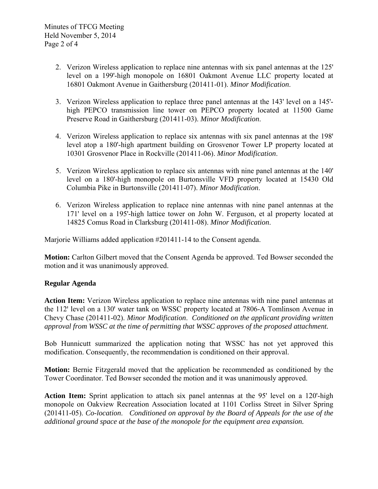- 2. Verizon Wireless application to replace nine antennas with six panel antennas at the 125' level on a 199'-high monopole on 16801 Oakmont Avenue LLC property located at 16801 Oakmont Avenue in Gaithersburg (201411-01). *Minor Modification*.
- 3. Verizon Wireless application to replace three panel antennas at the 143' level on a 145' high PEPCO transmission line tower on PEPCO property located at 11500 Game Preserve Road in Gaithersburg (201411-03). *Minor Modification*.
- 4. Verizon Wireless application to replace six antennas with six panel antennas at the 198' level atop a 180'-high apartment building on Grosvenor Tower LP property located at 10301 Grosvenor Place in Rockville (201411-06). *Minor Modification*.
- 5. Verizon Wireless application to replace six antennas with nine panel antennas at the 140' level on a 180'-high monopole on Burtonsville VFD property located at 15430 Old Columbia Pike in Burtonsville (201411-07). *Minor Modification*.
- 6. Verizon Wireless application to replace nine antennas with nine panel antennas at the 171' level on a 195'-high lattice tower on John W. Ferguson, et al property located at 14825 Comus Road in Clarksburg (201411-08). *Minor Modification*.

Marjorie Williams added application #201411-14 to the Consent agenda.

**Motion:** Carlton Gilbert moved that the Consent Agenda be approved. Ted Bowser seconded the motion and it was unanimously approved.

## **Regular Agenda**

**Action Item:** Verizon Wireless application to replace nine antennas with nine panel antennas at the 112<sup>'</sup> level on a 130' water tank on WSSC property located at 7806-A Tomlinson Avenue in Chevy Chase (201411-02). *Minor Modification*. *Conditioned on the applicant providing written approval from WSSC at the time of permitting that WSSC approves of the proposed attachment.* 

Bob Hunnicutt summarized the application noting that WSSC has not yet approved this modification. Consequently, the recommendation is conditioned on their approval.

**Motion:** Bernie Fitzgerald moved that the application be recommended as conditioned by the Tower Coordinator. Ted Bowser seconded the motion and it was unanimously approved.

**Action Item:** Sprint application to attach six panel antennas at the 95' level on a 120'-high monopole on Oakview Recreation Association located at 1101 Corliss Street in Silver Spring (201411-05). *Co-location*. *Conditioned on approval by the Board of Appeals for the use of the additional ground space at the base of the monopole for the equipment area expansion.*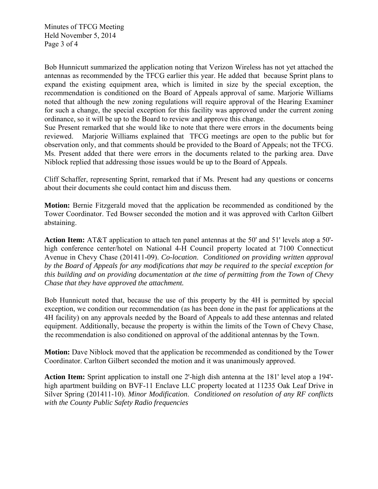Minutes of TFCG Meeting Held November 5, 2014 Page 3 of 4

Bob Hunnicutt summarized the application noting that Verizon Wireless has not yet attached the antennas as recommended by the TFCG earlier this year. He added that because Sprint plans to expand the existing equipment area, which is limited in size by the special exception, the recommendation is conditioned on the Board of Appeals approval of same. Marjorie Williams noted that although the new zoning regulations will require approval of the Hearing Examiner for such a change, the special exception for this facility was approved under the current zoning ordinance, so it will be up to the Board to review and approve this change.

Sue Present remarked that she would like to note that there were errors in the documents being reviewed. Marjorie Williams explained that TFCG meetings are open to the public but for observation only, and that comments should be provided to the Board of Appeals; not the TFCG. Ms. Present added that there were errors in the documents related to the parking area. Dave Niblock replied that addressing those issues would be up to the Board of Appeals.

Cliff Schaffer, representing Sprint, remarked that if Ms. Present had any questions or concerns about their documents she could contact him and discuss them.

**Motion:** Bernie Fitzgerald moved that the application be recommended as conditioned by the Tower Coordinator. Ted Bowser seconded the motion and it was approved with Carlton Gilbert abstaining.

Action Item: AT&T application to attach ten panel antennas at the 50' and 51' levels atop a 50'high conference center/hotel on National 4-H Council property located at 7100 Connecticut Avenue in Chevy Chase (201411-09). *Co-location*. *Conditioned on providing written approval by the Board of Appeals for any modifications that may be required to the special exception for this building and on providing documentation at the time of permitting from the Town of Chevy Chase that they have approved the attachment.* 

Bob Hunnicutt noted that, because the use of this property by the 4H is permitted by special exception, we condition our recommendation (as has been done in the past for applications at the 4H facility) on any approvals needed by the Board of Appeals to add these antennas and related equipment. Additionally, because the property is within the limits of the Town of Chevy Chase, the recommendation is also conditioned on approval of the additional antennas by the Town.

**Motion:** Dave Niblock moved that the application be recommended as conditioned by the Tower Coordinator. Carlton Gilbert seconded the motion and it was unanimously approved.

Action Item: Sprint application to install one 2'-high dish antenna at the 181' level atop a 194'high apartment building on BVF-11 Enclave LLC property located at 11235 Oak Leaf Drive in Silver Spring (201411-10). *Minor Modification*. *Conditioned on resolution of any RF conflicts with the County Public Safety Radio frequencies*